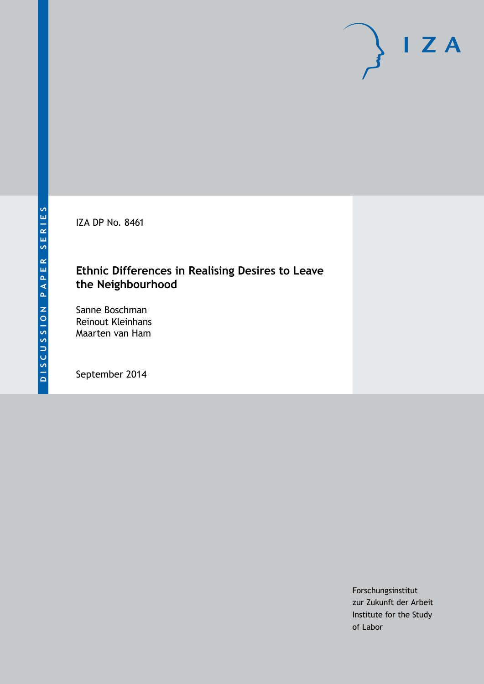IZA DP No. 8461

# **Ethnic Differences in Realising Desires to Leave the Neighbourhood**

Sanne Boschman Reinout Kleinhans Maarten van Ham

September 2014

Forschungsinstitut zur Zukunft der Arbeit Institute for the Study of Labor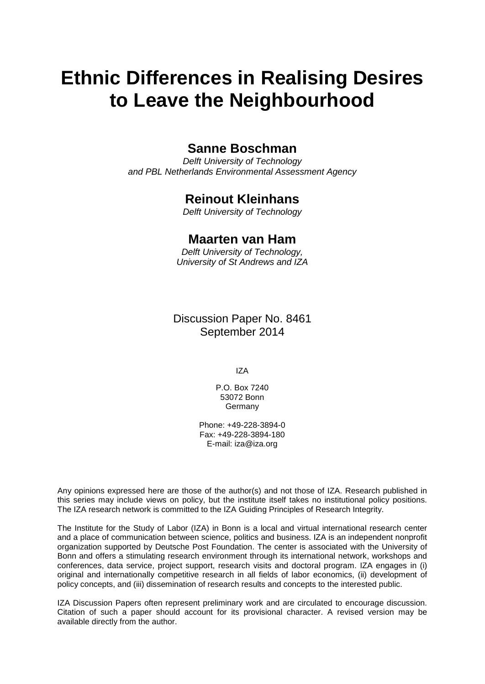# **Ethnic Differences in Realising Desires to Leave the Neighbourhood**

# **Sanne Boschman**

*Delft University of Technology and PBL Netherlands Environmental Assessment Agency*

# **Reinout Kleinhans**

*Delft University of Technology*

# **Maarten van Ham**

*Delft University of Technology, University of St Andrews and IZA*

Discussion Paper No. 8461 September 2014

IZA

P.O. Box 7240 53072 Bonn Germany

Phone: +49-228-3894-0 Fax: +49-228-3894-180 E-mail: [iza@iza.org](mailto:iza@iza.org)

Any opinions expressed here are those of the author(s) and not those of IZA. Research published in this series may include views on policy, but the institute itself takes no institutional policy positions. The IZA research network is committed to the IZA Guiding Principles of Research Integrity.

The Institute for the Study of Labor (IZA) in Bonn is a local and virtual international research center and a place of communication between science, politics and business. IZA is an independent nonprofit organization supported by Deutsche Post Foundation. The center is associated with the University of Bonn and offers a stimulating research environment through its international network, workshops and conferences, data service, project support, research visits and doctoral program. IZA engages in (i) original and internationally competitive research in all fields of labor economics, (ii) development of policy concepts, and (iii) dissemination of research results and concepts to the interested public.

IZA Discussion Papers often represent preliminary work and are circulated to encourage discussion. Citation of such a paper should account for its provisional character. A revised version may be available directly from the author.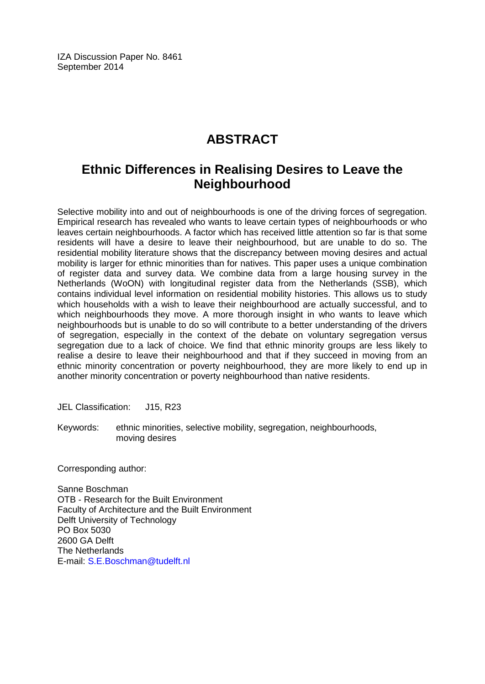IZA Discussion Paper No. 8461 September 2014

# **ABSTRACT**

# **Ethnic Differences in Realising Desires to Leave the Neighbourhood**

Selective mobility into and out of neighbourhoods is one of the driving forces of segregation. Empirical research has revealed who wants to leave certain types of neighbourhoods or who leaves certain neighbourhoods. A factor which has received little attention so far is that some residents will have a desire to leave their neighbourhood, but are unable to do so. The residential mobility literature shows that the discrepancy between moving desires and actual mobility is larger for ethnic minorities than for natives. This paper uses a unique combination of register data and survey data. We combine data from a large housing survey in the Netherlands (WoON) with longitudinal register data from the Netherlands (SSB), which contains individual level information on residential mobility histories. This allows us to study which households with a wish to leave their neighbourhood are actually successful, and to which neighbourhoods they move. A more thorough insight in who wants to leave which neighbourhoods but is unable to do so will contribute to a better understanding of the drivers of segregation, especially in the context of the debate on voluntary segregation versus segregation due to a lack of choice. We find that ethnic minority groups are less likely to realise a desire to leave their neighbourhood and that if they succeed in moving from an ethnic minority concentration or poverty neighbourhood, they are more likely to end up in another minority concentration or poverty neighbourhood than native residents.

JEL Classification: J15, R23

Keywords: ethnic minorities, selective mobility, segregation, neighbourhoods, moving desires

Corresponding author:

Sanne Boschman OTB - Research for the Built Environment Faculty of Architecture and the Built Environment Delft University of Technology PO Box 5030 2600 GA Delft The Netherlands E-mail: [S.E.Boschman@tudelft.nl](mailto:S.E.Boschman@tudelft.nl)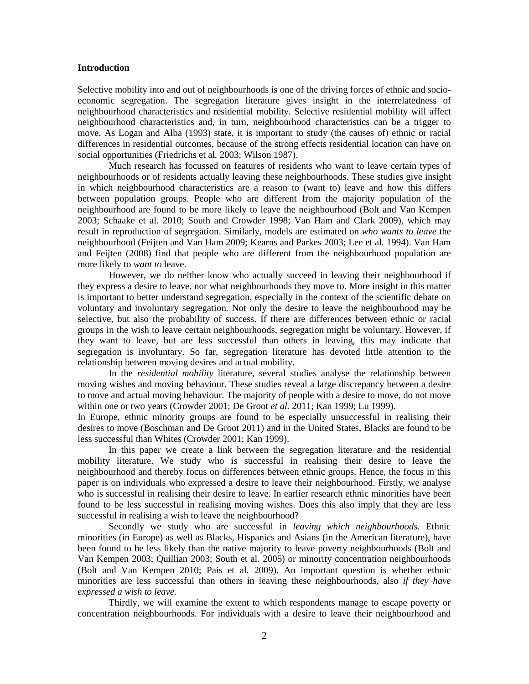#### **Introduction**

Selective mobility into and out of neighbourhoods is one of the driving forces of ethnic and socioeconomic segregation. The segregation literature gives insight in the interrelatedness of neighbourhood characteristics and residential mobility. Selective residential mobility will affect neighbourhood characteristics and, in turn, neighbourhood characteristics can be a trigger to move. As Logan and Alba (1993) state, it is important to study (the causes of) ethnic or racial differences in residential outcomes, because of the strong effects residential location can have on social opportunities (Friedrichs et al*.* 2003; Wilson 1987).

Much research has focussed on features of residents who want to leave certain types of neighbourhoods or of residents actually leaving these neighbourhoods. These studies give insight in which neighbourhood characteristics are a reason to (want to) leave and how this differs between population groups. People who are different from the majority population of the neighbourhood are found to be more likely to leave the neighbourhood (Bolt and Van Kempen 2003; Schaake et al*.* 2010; South and Crowder 1998; Van Ham and Clark 2009), which may result in reproduction of segregation. Similarly, models are estimated on *who wants to leave* the neighbourhood (Feijten and Van Ham 2009; Kearns and Parkes 2003; Lee et al*.* 1994). Van Ham and Feijten (2008) find that people who are different from the neighbourhood population are more likely to *want to* leave.

However, we do neither know who actually succeed in leaving their neighbourhood if they express a desire to leave, nor what neighbourhoods they move to. More insight in this matter is important to better understand segregation, especially in the context of the scientific debate on voluntary and involuntary segregation. Not only the desire to leave the neighbourhood may be selective, but also the probability of success. If there are differences between ethnic or racial groups in the wish to leave certain neighbourhoods, segregation might be voluntary. However, if they want to leave, but are less successful than others in leaving, this may indicate that segregation is involuntary. So far, segregation literature has devoted little attention to the relationship between moving desires and actual mobility.

In the *residential mobility* literature, several studies analyse the relationship between moving wishes and moving behaviour. These studies reveal a large discrepancy between a desire to move and actual moving behaviour. The majority of people with a desire to move, do not move within one or two years (Crowder 2001; De Groot *et al.* 2011; Kan 1999; Lu 1999).

In Europe, ethnic minority groups are found to be especially unsuccessful in realising their desires to move (Boschman and De Groot 2011) and in the United States, Blacks are found to be less successful than Whites (Crowder 2001; Kan 1999).

In this paper we create a link between the segregation literature and the residential mobility literature. We study who is successful in realising their desire to leave the neighbourhood and thereby focus on differences between ethnic groups. Hence, the focus in this paper is on individuals who expressed a desire to leave their neighbourhood. Firstly, we analyse who is successful in realising their desire to leave. In earlier research ethnic minorities have been found to be less successful in realising moving wishes. Does this also imply that they are less successful in realising a wish to leave the neighbourhood?

Secondly we study who are successful in *leaving which neighbourhoods*. Ethnic minorities (in Europe) as well as Blacks, Hispanics and Asians (in the American literature), have been found to be less likely than the native majority to leave poverty neighbourhoods (Bolt and Van Kempen 2003; Quillian 2003; South et al. 2005) or minority concentration neighbourhoods (Bolt and Van Kempen 2010; Pais et al*.* 2009). An important question is whether ethnic minorities are less successful than others in leaving these neighbourhoods, also *if they have expressed a wish to leave.*

Thirdly, we will examine the extent to which respondents manage to escape poverty or concentration neighbourhoods. For individuals with a desire to leave their neighbourhood and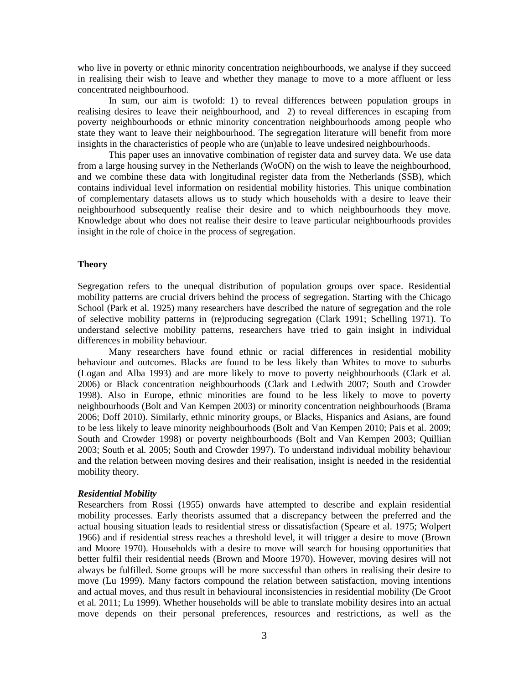who live in poverty or ethnic minority concentration neighbourhoods, we analyse if they succeed in realising their wish to leave and whether they manage to move to a more affluent or less concentrated neighbourhood.

In sum, our aim is twofold: 1) to reveal differences between population groups in realising desires to leave their neighbourhood, and 2) to reveal differences in escaping from poverty neighbourhoods or ethnic minority concentration neighbourhoods among people who state they want to leave their neighbourhood. The segregation literature will benefit from more insights in the characteristics of people who are (un)able to leave undesired neighbourhoods.

This paper uses an innovative combination of register data and survey data. We use data from a large housing survey in the Netherlands (WoON) on the wish to leave the neighbourhood, and we combine these data with longitudinal register data from the Netherlands (SSB), which contains individual level information on residential mobility histories. This unique combination of complementary datasets allows us to study which households with a desire to leave their neighbourhood subsequently realise their desire and to which neighbourhoods they move. Knowledge about who does not realise their desire to leave particular neighbourhoods provides insight in the role of choice in the process of segregation.

### **Theory**

Segregation refers to the unequal distribution of population groups over space. Residential mobility patterns are crucial drivers behind the process of segregation. Starting with the Chicago School (Park et al*.* 1925) many researchers have described the nature of segregation and the role of selective mobility patterns in (re)producing segregation (Clark 1991; Schelling 1971). To understand selective mobility patterns, researchers have tried to gain insight in individual differences in mobility behaviour.

Many researchers have found ethnic or racial differences in residential mobility behaviour and outcomes. Blacks are found to be less likely than Whites to move to suburbs (Logan and Alba 1993) and are more likely to move to poverty neighbourhoods (Clark et al*.* 2006) or Black concentration neighbourhoods (Clark and Ledwith 2007; South and Crowder 1998). Also in Europe, ethnic minorities are found to be less likely to move to poverty neighbourhoods (Bolt and Van Kempen 2003) or minority concentration neighbourhoods (Brama 2006; Doff 2010). Similarly, ethnic minority groups, or Blacks, Hispanics and Asians, are found to be less likely to leave minority neighbourhoods (Bolt and Van Kempen 2010; Pais et al*.* 2009; South and Crowder 1998) or poverty neighbourhoods (Bolt and Van Kempen 2003; Quillian 2003; South et al*.* 2005; South and Crowder 1997). To understand individual mobility behaviour and the relation between moving desires and their realisation, insight is needed in the residential mobility theory.

#### *Residential Mobility*

Researchers from Rossi (1955) onwards have attempted to describe and explain residential mobility processes. Early theorists assumed that a discrepancy between the preferred and the actual housing situation leads to residential stress or dissatisfaction (Speare et al. 1975; Wolpert 1966) and if residential stress reaches a threshold level, it will trigger a desire to move (Brown and Moore 1970). Households with a desire to move will search for housing opportunities that better fulfil their residential needs (Brown and Moore 1970). However, moving desires will not always be fulfilled. Some groups will be more successful than others in realising their desire to move (Lu 1999). Many factors compound the relation between satisfaction, moving intentions and actual moves, and thus result in behavioural inconsistencies in residential mobility (De Groot et al*.* 2011; Lu 1999). Whether households will be able to translate mobility desires into an actual move depends on their personal preferences, resources and restrictions, as well as the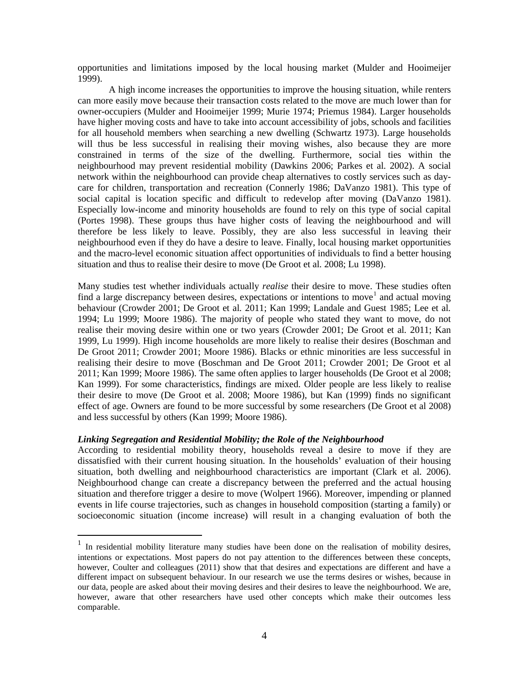opportunities and limitations imposed by the local housing market (Mulder and Hooimeijer 1999).

A high income increases the opportunities to improve the housing situation, while renters can more easily move because their transaction costs related to the move are much lower than for owner-occupiers (Mulder and Hooimeijer 1999; Murie 1974; Priemus 1984). Larger households have higher moving costs and have to take into account accessibility of jobs, schools and facilities for all household members when searching a new dwelling (Schwartz 1973). Large households will thus be less successful in realising their moving wishes, also because they are more constrained in terms of the size of the dwelling. Furthermore, social ties within the neighbourhood may prevent residential mobility (Dawkins 2006; Parkes et al*.* 2002). A social network within the neighbourhood can provide cheap alternatives to costly services such as daycare for children, transportation and recreation (Connerly 1986; DaVanzo 1981). This type of social capital is location specific and difficult to redevelop after moving (DaVanzo 1981). Especially low-income and minority households are found to rely on this type of social capital (Portes 1998). These groups thus have higher costs of leaving the neighbourhood and will therefore be less likely to leave. Possibly, they are also less successful in leaving their neighbourhood even if they do have a desire to leave. Finally, local housing market opportunities and the macro-level economic situation affect opportunities of individuals to find a better housing situation and thus to realise their desire to move (De Groot et al*.* 2008; Lu 1998).

Many studies test whether individuals actually *realise* their desire to move. These studies often find a large discrepancy between desires, expectations or intentions to move<sup>1</sup> and actual moving behaviour (Crowder 2001; De Groot et al*.* 2011; Kan 1999; Landale and Guest 1985; Lee et al*.* 1994; Lu 1999; Moore 1986). The majority of people who stated they want to move, do not realise their moving desire within one or two years (Crowder 2001; De Groot et al*.* 2011; Kan 1999, Lu 1999). High income households are more likely to realise their desires (Boschman and De Groot 2011; Crowder 2001; Moore 1986). Blacks or ethnic minorities are less successful in realising their desire to move (Boschman and De Groot 2011; Crowder 2001; De Groot et al 2011; Kan 1999; Moore 1986). The same often applies to larger households (De Groot et al 2008; Kan 1999). For some characteristics, findings are mixed. Older people are less likely to realise their desire to move (De Groot et al. 2008; Moore 1986), but Kan (1999) finds no significant effect of age. Owners are found to be more successful by some researchers (De Groot et al 2008) and less successful by others (Kan 1999; Moore 1986).

### *Linking Segregation and Residential Mobility; the Role of the Neighbourhood*

According to residential mobility theory, households reveal a desire to move if they are dissatisfied with their current housing situation. In the households' evaluation of their housing situation, both dwelling and neighbourhood characteristics are important (Clark et al*.* 2006). Neighbourhood change can create a discrepancy between the preferred and the actual housing situation and therefore trigger a desire to move (Wolpert 1966). Moreover, impending or planned events in life course trajectories, such as changes in household composition (starting a family) or socioeconomic situation (income increase) will result in a changing evaluation of both the

<span id="page-5-0"></span><sup>&</sup>lt;sup>1</sup> In residential mobility literature many studies have been done on the realisation of mobility desires, intentions or expectations. Most papers do not pay attention to the differences between these concepts, however, Coulter and colleagues (2011) show that that desires and expectations are different and have a different impact on subsequent behaviour. In our research we use the terms desires or wishes, because in our data, people are asked about their moving desires and their desires to leave the neighbourhood. We are, however, aware that other researchers have used other concepts which make their outcomes less comparable.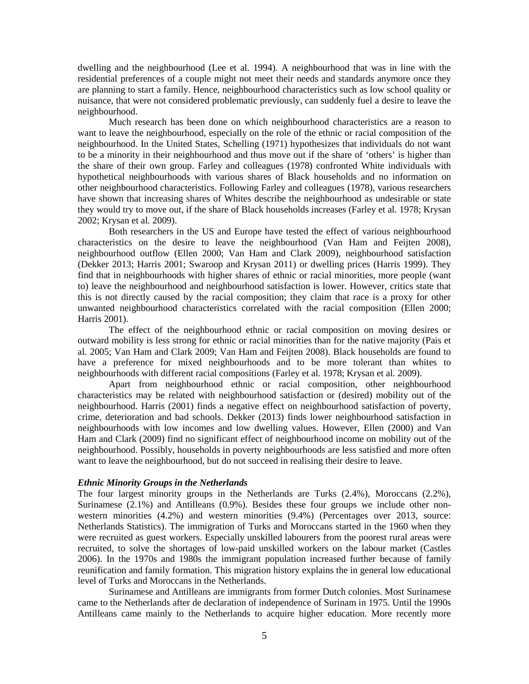dwelling and the neighbourhood (Lee et al*.* 1994). A neighbourhood that was in line with the residential preferences of a couple might not meet their needs and standards anymore once they are planning to start a family. Hence, neighbourhood characteristics such as low school quality or nuisance, that were not considered problematic previously, can suddenly fuel a desire to leave the neighbourhood.

Much research has been done on which neighbourhood characteristics are a reason to want to leave the neighbourhood, especially on the role of the ethnic or racial composition of the neighbourhood. In the United States, Schelling (1971) hypothesizes that individuals do not want to be a minority in their neighbourhood and thus move out if the share of 'others' is higher than the share of their own group. Farley and colleagues (1978) confronted White individuals with hypothetical neighbourhoods with various shares of Black households and no information on other neighbourhood characteristics. Following Farley and colleagues (1978), various researchers have shown that increasing shares of Whites describe the neighbourhood as undesirable or state they would try to move out, if the share of Black households increases (Farley et al*.* 1978; Krysan 2002; Krysan et al*.* 2009).

Both researchers in the US and Europe have tested the effect of various neighbourhood characteristics on the desire to leave the neighbourhood (Van Ham and Feijten 2008), neighbourhood outflow (Ellen 2000; Van Ham and Clark 2009), neighbourhood satisfaction (Dekker 2013; Harris 2001; Swaroop and Krysan 2011) or dwelling prices (Harris 1999). They find that in neighbourhoods with higher shares of ethnic or racial minorities, more people (want to) leave the neighbourhood and neighbourhood satisfaction is lower. However, critics state that this is not directly caused by the racial composition; they claim that race is a proxy for other unwanted neighbourhood characteristics correlated with the racial composition (Ellen 2000; Harris 2001).

The effect of the neighbourhood ethnic or racial composition on moving desires or outward mobility is less strong for ethnic or racial minorities than for the native majority (Pais et al*.* 2005; Van Ham and Clark 2009; Van Ham and Feijten 2008). Black households are found to have a preference for mixed neighbourhoods and to be more tolerant than whites to neighbourhoods with different racial compositions (Farley et al*.* 1978; Krysan et al*.* 2009).

Apart from neighbourhood ethnic or racial composition, other neighbourhood characteristics may be related with neighbourhood satisfaction or (desired) mobility out of the neighbourhood. Harris (2001) finds a negative effect on neighbourhood satisfaction of poverty, crime, deterioration and bad schools. Dekker (2013) finds lower neighbourhood satisfaction in neighbourhoods with low incomes and low dwelling values. However, Ellen (2000) and Van Ham and Clark (2009) find no significant effect of neighbourhood income on mobility out of the neighbourhood. Possibly, households in poverty neighbourhoods are less satisfied and more often want to leave the neighbourhood, but do not succeed in realising their desire to leave.

#### *Ethnic Minority Groups in the Netherlands*

The four largest minority groups in the Netherlands are Turks (2.4%), Moroccans (2.2%), Surinamese (2.1%) and Antilleans (0.9%). Besides these four groups we include other nonwestern minorities (4.2%) and western minorities (9.4%) (Percentages over 2013, source: Netherlands Statistics). The immigration of Turks and Moroccans started in the 1960 when they were recruited as guest workers. Especially unskilled labourers from the poorest rural areas were recruited, to solve the shortages of low-paid unskilled workers on the labour market (Castles 2006). In the 1970s and 1980s the immigrant population increased further because of family reunification and family formation. This migration history explains the in general low educational level of Turks and Moroccans in the Netherlands.

Surinamese and Antilleans are immigrants from former Dutch colonies. Most Surinamese came to the Netherlands after de declaration of independence of Surinam in 1975. Until the 1990s Antilleans came mainly to the Netherlands to acquire higher education. More recently more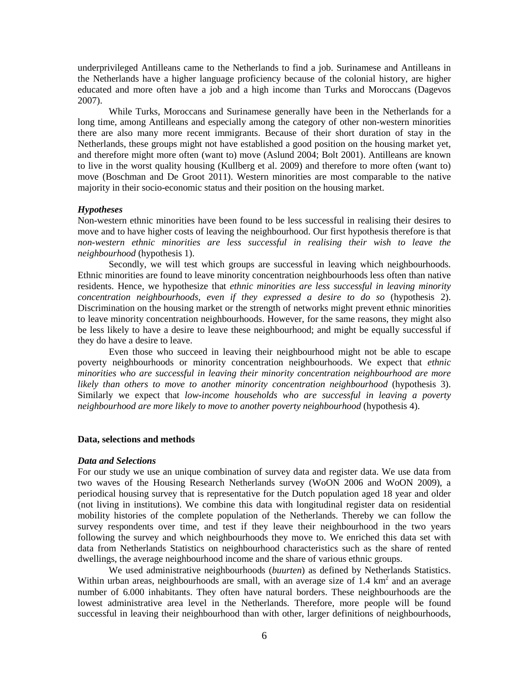underprivileged Antilleans came to the Netherlands to find a job. Surinamese and Antilleans in the Netherlands have a higher language proficiency because of the colonial history, are higher educated and more often have a job and a high income than Turks and Moroccans (Dagevos 2007).

While Turks, Moroccans and Surinamese generally have been in the Netherlands for a long time, among Antilleans and especially among the category of other non-western minorities there are also many more recent immigrants. Because of their short duration of stay in the Netherlands, these groups might not have established a good position on the housing market yet, and therefore might more often (want to) move (Aslund 2004; Bolt 2001). Antilleans are known to live in the worst quality housing (Kullberg et al. 2009) and therefore to more often (want to) move (Boschman and De Groot 2011). Western minorities are most comparable to the native majority in their socio-economic status and their position on the housing market.

### *Hypotheses*

Non-western ethnic minorities have been found to be less successful in realising their desires to move and to have higher costs of leaving the neighbourhood. Our first hypothesis therefore is that *non-western ethnic minorities are less successful in realising their wish to leave the neighbourhood* (hypothesis 1).

Secondly, we will test which groups are successful in leaving which neighbourhoods. Ethnic minorities are found to leave minority concentration neighbourhoods less often than native residents. Hence, we hypothesize that *ethnic minorities are less successful in leaving minority concentration neighbourhoods, even if they expressed a desire to do so* (hypothesis 2). Discrimination on the housing market or the strength of networks might prevent ethnic minorities to leave minority concentration neighbourhoods. However, for the same reasons, they might also be less likely to have a desire to leave these neighbourhood; and might be equally successful if they do have a desire to leave.

Even those who succeed in leaving their neighbourhood might not be able to escape poverty neighbourhoods or minority concentration neighbourhoods. We expect that *ethnic minorities who are successful in leaving their minority concentration neighbourhood are more likely than others to move to another minority concentration neighbourhood* (hypothesis 3). Similarly we expect that *low-income households who are successful in leaving a poverty neighbourhood are more likely to move to another poverty neighbourhood* (hypothesis 4).

#### **Data, selections and methods**

### *Data and Selections*

For our study we use an unique combination of survey data and register data. We use data from two waves of the Housing Research Netherlands survey (WoON 2006 and WoON 2009), a periodical housing survey that is representative for the Dutch population aged 18 year and older (not living in institutions). We combine this data with longitudinal register data on residential mobility histories of the complete population of the Netherlands. Thereby we can follow the survey respondents over time, and test if they leave their neighbourhood in the two years following the survey and which neighbourhoods they move to. We enriched this data set with data from Netherlands Statistics on neighbourhood characteristics such as the share of rented dwellings, the average neighbourhood income and the share of various ethnic groups.

We used administrative neighbourhoods (*buurten*) as defined by Netherlands Statistics. Within urban areas, neighbourhoods are small, with an average size of 1.4  $km<sup>2</sup>$  and an average number of 6.000 inhabitants. They often have natural borders. These neighbourhoods are the lowest administrative area level in the Netherlands. Therefore, more people will be found successful in leaving their neighbourhood than with other, larger definitions of neighbourhoods,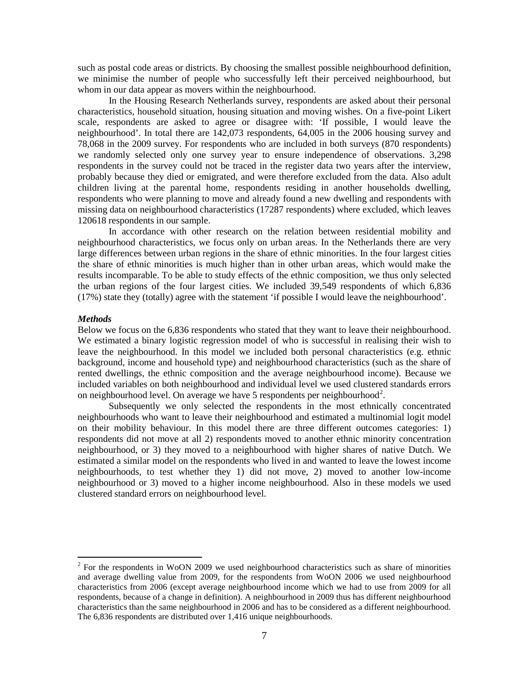such as postal code areas or districts. By choosing the smallest possible neighbourhood definition, we minimise the number of people who successfully left their perceived neighbourhood, but whom in our data appear as movers within the neighbourhood.

In the Housing Research Netherlands survey, respondents are asked about their personal characteristics, household situation, housing situation and moving wishes. On a five-point Likert scale, respondents are asked to agree or disagree with: 'If possible, I would leave the neighbourhood'. In total there are 142,073 respondents, 64,005 in the 2006 housing survey and 78,068 in the 2009 survey. For respondents who are included in both surveys (870 respondents) we randomly selected only one survey year to ensure independence of observations. 3,298 respondents in the survey could not be traced in the register data two years after the interview, probably because they died or emigrated, and were therefore excluded from the data. Also adult children living at the parental home, respondents residing in another households dwelling, respondents who were planning to move and already found a new dwelling and respondents with missing data on neighbourhood characteristics (17287 respondents) where excluded, which leaves 120618 respondents in our sample.

In accordance with other research on the relation between residential mobility and neighbourhood characteristics, we focus only on urban areas. In the Netherlands there are very large differences between urban regions in the share of ethnic minorities. In the four largest cities the share of ethnic minorities is much higher than in other urban areas, which would make the results incomparable. To be able to study effects of the ethnic composition, we thus only selected the urban regions of the four largest cities. We included 39,549 respondents of which 6,836 (17%) state they (totally) agree with the statement 'if possible I would leave the neighbourhood'.

### *Methods*

Below we focus on the 6,836 respondents who stated that they want to leave their neighbourhood. We estimated a binary logistic regression model of who is successful in realising their wish to leave the neighbourhood. In this model we included both personal characteristics (e.g. ethnic background, income and household type) and neighbourhood characteristics (such as the share of rented dwellings, the ethnic composition and the average neighbourhood income). Because we included variables on both neighbourhood and individual level we used clustered standards errors on neighbourhood level. On average we have 5 respondents per neighbourhood<sup>[2](#page-5-0)</sup>.

Subsequently we only selected the respondents in the most ethnically concentrated neighbourhoods who want to leave their neighbourhood and estimated a multinomial logit model on their mobility behaviour. In this model there are three different outcomes categories: 1) respondents did not move at all 2) respondents moved to another ethnic minority concentration neighbourhood, or 3) they moved to a neighbourhood with higher shares of native Dutch. We estimated a similar model on the respondents who lived in and wanted to leave the lowest income neighbourhoods, to test whether they 1) did not move, 2) moved to another low-income neighbourhood or 3) moved to a higher income neighbourhood. Also in these models we used clustered standard errors on neighbourhood level.

<span id="page-8-0"></span> $2^2$  For the respondents in WoON 2009 we used neighbourhood characteristics such as share of minorities and average dwelling value from 2009, for the respondents from WoON 2006 we used neighbourhood characteristics from 2006 (except average neighbourhood income which we had to use from 2009 for all respondents, because of a change in definition). A neighbourhood in 2009 thus has different neighbourhood characteristics than the same neighbourhood in 2006 and has to be considered as a different neighbourhood. The 6,836 respondents are distributed over 1,416 unique neighbourhoods.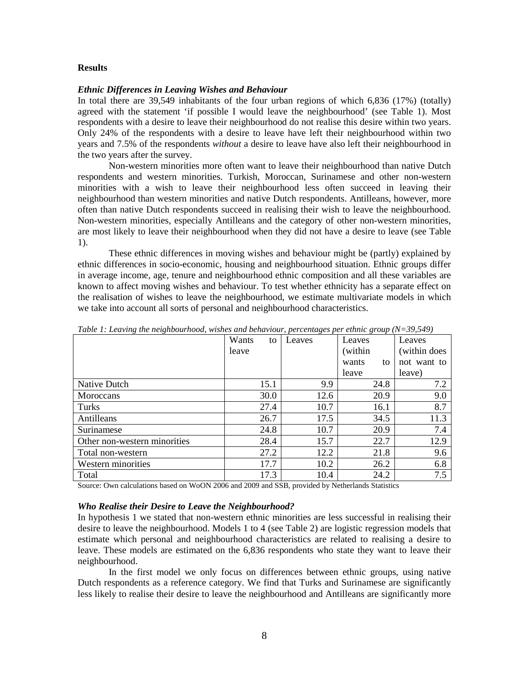#### **Results**

#### *Ethnic Differences in Leaving Wishes and Behaviour*

In total there are 39,549 inhabitants of the four urban regions of which 6,836 (17%) (totally) agreed with the statement 'if possible I would leave the neighbourhood' (see Table 1). Most respondents with a desire to leave their neighbourhood do not realise this desire within two years. Only 24% of the respondents with a desire to leave have left their neighbourhood within two years and 7.5% of the respondents *without* a desire to leave have also left their neighbourhood in the two years after the survey.

Non-western minorities more often want to leave their neighbourhood than native Dutch respondents and western minorities. Turkish, Moroccan, Surinamese and other non-western minorities with a wish to leave their neighbourhood less often succeed in leaving their neighbourhood than western minorities and native Dutch respondents. Antilleans, however, more often than native Dutch respondents succeed in realising their wish to leave the neighbourhood. Non-western minorities, especially Antilleans and the category of other non-western minorities, are most likely to leave their neighbourhood when they did not have a desire to leave (see Table 1).

These ethnic differences in moving wishes and behaviour might be (partly) explained by ethnic differences in socio-economic, housing and neighbourhood situation. Ethnic groups differ in average income, age, tenure and neighbourhood ethnic composition and all these variables are known to affect moving wishes and behaviour. To test whether ethnicity has a separate effect on the realisation of wishes to leave the neighbourhood, we estimate multivariate models in which we take into account all sorts of personal and neighbourhood characteristics.

|                              | Wants<br>to | Leaves | Leaves      | Leaves       |
|------------------------------|-------------|--------|-------------|--------------|
|                              | leave       |        | (within     | (within does |
|                              |             |        | wants<br>to | not want to  |
|                              |             |        | leave       | leave)       |
| Native Dutch                 | 15.1        | 9.9    | 24.8        | 7.2          |
| Moroccans                    | 30.0        | 12.6   | 20.9        | 9.0          |
| Turks                        | 27.4        | 10.7   | 16.1        | 8.7          |
| Antilleans                   | 26.7        | 17.5   | 34.5        | 11.3         |
| Surinamese                   | 24.8        | 10.7   | 20.9        | 7.4          |
| Other non-western minorities | 28.4        | 15.7   | 22.7        | 12.9         |
| Total non-western            | 27.2        | 12.2   | 21.8        | 9.6          |
| Western minorities           | 17.7        | 10.2   | 26.2        | 6.8          |
| Total                        | 17.3        | 10.4   | 24.2        | 7.5          |

*Table 1: Leaving the neighbourhood, wishes and behaviour, percentages per ethnic group (N=39,549)*

Source: Own calculations based on WoON 2006 and 2009 and SSB, provided by Netherlands Statistics

#### *Who Realise their Desire to Leave the Neighbourhood?*

In hypothesis 1 we stated that non-western ethnic minorities are less successful in realising their desire to leave the neighbourhood. Models 1 to 4 (see Table 2) are logistic regression models that estimate which personal and neighbourhood characteristics are related to realising a desire to leave. These models are estimated on the 6,836 respondents who state they want to leave their neighbourhood.

In the first model we only focus on differences between ethnic groups, using native Dutch respondents as a reference category. We find that Turks and Surinamese are significantly less likely to realise their desire to leave the neighbourhood and Antilleans are significantly more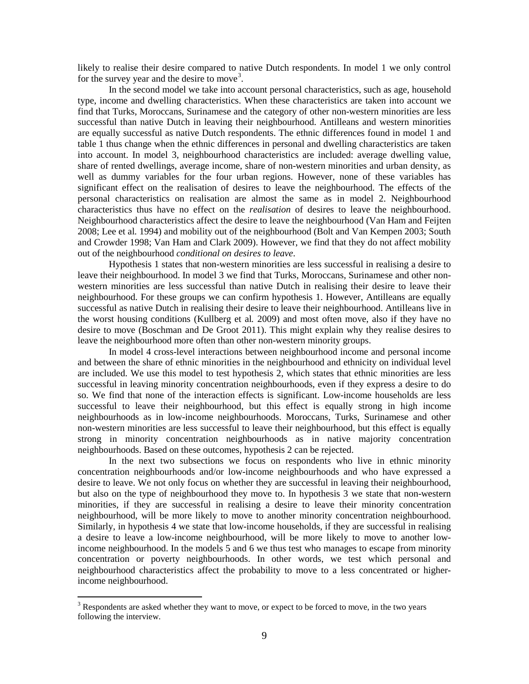likely to realise their desire compared to native Dutch respondents. In model 1 we only control for the survey year and the desire to move<sup>[3](#page-8-0)</sup>.

In the second model we take into account personal characteristics, such as age, household type, income and dwelling characteristics. When these characteristics are taken into account we find that Turks, Moroccans, Surinamese and the category of other non-western minorities are less successful than native Dutch in leaving their neighbourhood. Antilleans and western minorities are equally successful as native Dutch respondents. The ethnic differences found in model 1 and table 1 thus change when the ethnic differences in personal and dwelling characteristics are taken into account. In model 3, neighbourhood characteristics are included: average dwelling value, share of rented dwellings, average income, share of non-western minorities and urban density, as well as dummy variables for the four urban regions. However, none of these variables has significant effect on the realisation of desires to leave the neighbourhood. The effects of the personal characteristics on realisation are almost the same as in model 2. Neighbourhood characteristics thus have no effect on the *realisation* of desires to leave the neighbourhood. Neighbourhood characteristics affect the desire to leave the neighbourhood (Van Ham and Feijten 2008; Lee et al*.* 1994) and mobility out of the neighbourhood (Bolt and Van Kempen 2003; South and Crowder 1998; Van Ham and Clark 2009). However, we find that they do not affect mobility out of the neighbourhood *conditional on desires to leave*.

Hypothesis 1 states that non-western minorities are less successful in realising a desire to leave their neighbourhood. In model 3 we find that Turks, Moroccans, Surinamese and other nonwestern minorities are less successful than native Dutch in realising their desire to leave their neighbourhood. For these groups we can confirm hypothesis 1. However, Antilleans are equally successful as native Dutch in realising their desire to leave their neighbourhood. Antilleans live in the worst housing conditions (Kullberg et al*.* 2009) and most often move, also if they have no desire to move (Boschman and De Groot 2011). This might explain why they realise desires to leave the neighbourhood more often than other non-western minority groups.

In model 4 cross-level interactions between neighbourhood income and personal income and between the share of ethnic minorities in the neighbourhood and ethnicity on individual level are included. We use this model to test hypothesis 2, which states that ethnic minorities are less successful in leaving minority concentration neighbourhoods, even if they express a desire to do so. We find that none of the interaction effects is significant. Low-income households are less successful to leave their neighbourhood, but this effect is equally strong in high income neighbourhoods as in low-income neighbourhoods. Moroccans, Turks, Surinamese and other non-western minorities are less successful to leave their neighbourhood, but this effect is equally strong in minority concentration neighbourhoods as in native majority concentration neighbourhoods. Based on these outcomes, hypothesis 2 can be rejected.

In the next two subsections we focus on respondents who live in ethnic minority concentration neighbourhoods and/or low-income neighbourhoods and who have expressed a desire to leave. We not only focus on whether they are successful in leaving their neighbourhood, but also on the type of neighbourhood they move to. In hypothesis 3 we state that non-western minorities, if they are successful in realising a desire to leave their minority concentration neighbourhood, will be more likely to move to another minority concentration neighbourhood. Similarly, in hypothesis 4 we state that low-income households, if they are successful in realising a desire to leave a low-income neighbourhood, will be more likely to move to another lowincome neighbourhood. In the models 5 and 6 we thus test who manages to escape from minority concentration or poverty neighbourhoods. In other words, we test which personal and neighbourhood characteristics affect the probability to move to a less concentrated or higherincome neighbourhood.

<span id="page-10-0"></span><sup>&</sup>lt;sup>3</sup> Respondents are asked whether they want to move, or expect to be forced to move, in the two years following the interview.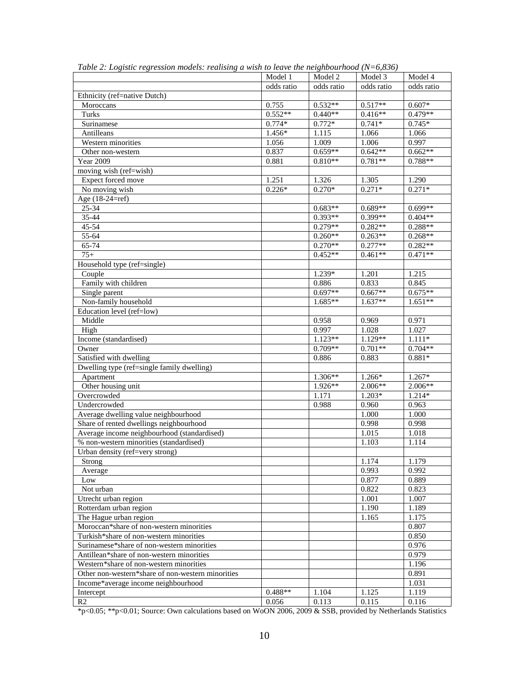|                                                   | Model 1    | Model 2    | Model 3    | Model 4    |
|---------------------------------------------------|------------|------------|------------|------------|
|                                                   | odds ratio | odds ratio | odds ratio | odds ratio |
| Ethnicity (ref=native Dutch)                      |            |            |            |            |
| Moroccans                                         | 0.755      | $0.532**$  | $0.517**$  | $0.607*$   |
| Turks                                             | $0.552**$  | $0.440**$  | $0.416**$  | $0.479**$  |
| Surinamese                                        | $0.774*$   | $0.772*$   | $0.741*$   | $0.745*$   |
| Antilleans                                        | 1.456*     | 1.115      | 1.066      | 1.066      |
| Western minorities                                | 1.056      | 1.009      | 1.006      | 0.997      |
| Other non-western                                 | 0.837      | $0.659**$  | $0.642**$  | $0.662**$  |
| <b>Year 2009</b>                                  | 0.881      | $0.810**$  | $0.781**$  | 0.788**    |
| moving wish (ref=wish)                            |            |            |            |            |
| Expect forced move                                | 1.251      | 1.326      | 1.305      | 1.290      |
| No moving wish                                    | $0.226*$   | $0.270*$   | $0.271*$   | $0.271*$   |
| Age (18-24=ref)                                   |            |            |            |            |
| 25-34                                             |            | $0.683**$  | $0.689**$  | $0.699**$  |
| 35-44                                             |            | $0.393**$  | $0.399**$  | $0.404**$  |
| 45-54                                             |            | $0.279**$  | $0.282**$  | $0.288**$  |
| 55-64                                             |            | $0.260**$  | $0.263**$  | $0.268**$  |
| 65-74                                             |            | $0.270**$  | $0.277**$  | $0.282**$  |
| $75+$                                             |            | $0.452**$  | $0.461**$  | $0.471**$  |
| Household type (ref=single)                       |            |            |            |            |
| Couple                                            |            | $1.239*$   | 1.201      | 1.215      |
| Family with children                              |            | 0.886      | 0.833      | 0.845      |
| Single parent                                     |            | $0.697**$  | $0.667**$  | $0.675**$  |
| Non-family household                              |            | $1.685**$  | $1.637**$  | $1.651**$  |
| Education level (ref=low)                         |            |            |            |            |
| Middle                                            |            | 0.958      | 0.969      | 0.971      |
| High                                              |            | 0.997      | 1.028      | 1.027      |
| Income (standardised)                             |            | $1.123**$  | 1.129**    | $1.111*$   |
| Owner                                             |            | $0.709**$  | $0.701**$  | $0.704**$  |
| Satisfied with dwelling                           |            | 0.886      | 0.883      | $0.881*$   |
| Dwelling type (ref=single family dwelling)        |            |            |            |            |
| Apartment                                         |            | 1.306**    | 1.266*     | $1.267*$   |
| Other housing unit                                |            | $1.926**$  | $2.006**$  | 2.006**    |
| Overcrowded                                       |            | 1.171      | $1.203*$   | 1.214*     |
| Undercrowded                                      |            | 0.988      | 0.960      | 0.963      |
| Average dwelling value neighbourhood              |            |            | 1.000      | 1.000      |
| Share of rented dwellings neighbourhood           |            |            | 0.998      | 0.998      |
| Average income neighbourhood (standardised)       |            |            | 1.015      | 1.018      |
| % non-western minorities (standardised)           |            |            | 1.103      | 1.114      |
| Urban density (ref=very strong)                   |            |            |            |            |
| Strong                                            |            |            | 1.174      | 1.179      |
| Average                                           |            |            | 0.993      | 0.992      |
| Low                                               |            |            | 0.877      | 0.889      |
| Not urban                                         |            |            | 0.822      | 0.823      |
| Utrecht urban region                              |            |            | 1.001      | 1.007      |
| Rotterdam urban region                            |            |            | 1.190      | 1.189      |
| The Hague urban region                            |            |            | 1.165      | 1.175      |
| Moroccan*share of non-western minorities          |            |            |            | 0.807      |
| Turkish*share of non-western minorities           |            |            |            | 0.850      |
| Surinamese*share of non-western minorities        |            |            |            | 0.976      |
| Antillean*share of non-western minorities         |            |            |            | 0.979      |
| Western*share of non-western minorities           |            |            |            | 1.196      |
| Other non-western*share of non-western minorities |            |            |            | 0.891      |
| Income*average income neighbourhood               |            |            |            | 1.031      |
| Intercept                                         | $0.488**$  | 1.104      | 1.125      | 1.119      |
| R <sub>2</sub>                                    | 0.056      | 0.113      | 0.115      | 0.116      |

*Table 2: Logistic regression models: realising a wish to leave the neighbourhood (N=6,836)*

\*p<0.05; \*\*p<0.01; Source: Own calculations based on WoON 2006, 2009 & SSB, provided by Netherlands Statistics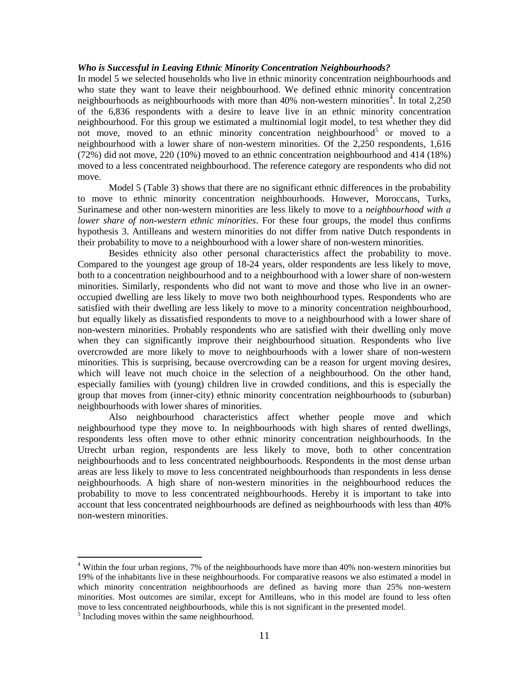# *Who is Successful in Leaving Ethnic Minority Concentration Neighbourhoods?*

In model 5 we selected households who live in ethnic minority concentration neighbourhoods and who state they want to leave their neighbourhood. We defined ethnic minority concentration neighbourhoods as neighbourhoods with more than  $40\%$  $40\%$  non-western minorities<sup>4</sup>. In total 2,250 of the 6,836 respondents with a desire to leave live in an ethnic minority concentration neighbourhood. For this group we estimated a multinomial logit model, to test whether they did not move, moved to an ethnic minority concentration neighbourhood<sup>[5](#page-12-0)</sup> or moved to a neighbourhood with a lower share of non-western minorities. Of the 2,250 respondents, 1,616 (72%) did not move, 220 (10%) moved to an ethnic concentration neighbourhood and 414 (18%) moved to a less concentrated neighbourhood. The reference category are respondents who did not move.

Model 5 (Table 3) shows that there are no significant ethnic differences in the probability to move to ethnic minority concentration neighbourhoods. However, Moroccans, Turks, Surinamese and other non-western minorities are less likely to move to a *neighbourhood with a lower share of non-western ethnic minorities*. For these four groups, the model thus confirms hypothesis 3. Antilleans and western minorities do not differ from native Dutch respondents in their probability to move to a neighbourhood with a lower share of non-western minorities.

Besides ethnicity also other personal characteristics affect the probability to move. Compared to the youngest age group of 18-24 years, older respondents are less likely to move, both to a concentration neighbourhood and to a neighbourhood with a lower share of non-western minorities. Similarly, respondents who did not want to move and those who live in an owneroccupied dwelling are less likely to move two both neighbourhood types. Respondents who are satisfied with their dwelling are less likely to move to a minority concentration neighbourhood, but equally likely as dissatisfied respondents to move to a neighbourhood with a lower share of non-western minorities. Probably respondents who are satisfied with their dwelling only move when they can significantly improve their neighbourhood situation. Respondents who live overcrowded are more likely to move to neighbourhoods with a lower share of non-western minorities. This is surprising, because overcrowding can be a reason for urgent moving desires, which will leave not much choice in the selection of a neighbourhood. On the other hand, especially families with (young) children live in crowded conditions, and this is especially the group that moves from (inner-city) ethnic minority concentration neighbourhoods to (suburban) neighbourhoods with lower shares of minorities.

Also neighbourhood characteristics affect whether people move and which neighbourhood type they move to. In neighbourhoods with high shares of rented dwellings, respondents less often move to other ethnic minority concentration neighbourhoods. In the Utrecht urban region, respondents are less likely to move, both to other concentration neighbourhoods and to less concentrated neighbourhoods. Respondents in the most dense urban areas are less likely to move to less concentrated neighbourhoods than respondents in less dense neighbourhoods. A high share of non-western minorities in the neighbourhood reduces the probability to move to less concentrated neighbourhoods. Hereby it is important to take into account that less concentrated neighbourhoods are defined as neighbourhoods with less than 40% non-western minorities.

<span id="page-12-1"></span> <sup>4</sup> Within the four urban regions, 7% of the neighbourhoods have more than 40% non-western minorities but 19% of the inhabitants live in these neighbourhoods. For comparative reasons we also estimated a model in which minority concentration neighbourhoods are defined as having more than 25% non-western minorities. Most outcomes are similar, except for Antilleans, who in this model are found to less often move to less concentrated neighbourhoods, while this is not significant in the presented model.<sup>5</sup> Including moves within the same neighbourhood.

<span id="page-12-0"></span>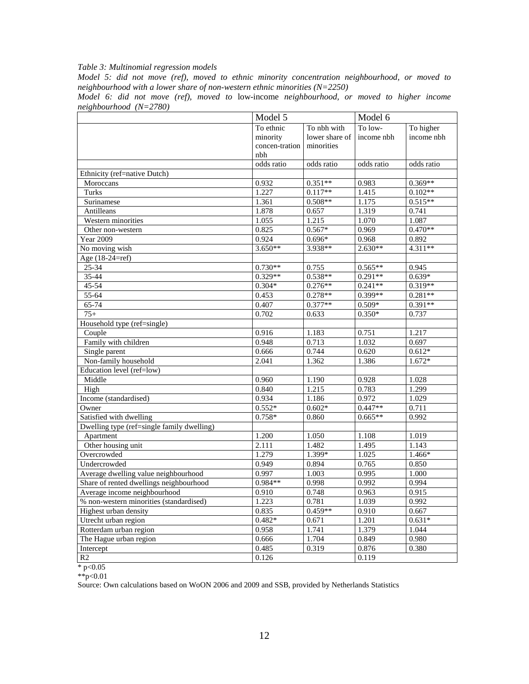# *Table 3: Multinomial regression models*

*Model 5: did not move (ref), moved to ethnic minority concentration neighbourhood, or moved to neighbourhood with a lower share of non-western ethnic minorities (N=2250)*

|                        |  |  |  |  | Model 6: did not move (ref), moved to low-income neighbourhood, or moved to higher income |  |  |  |
|------------------------|--|--|--|--|-------------------------------------------------------------------------------------------|--|--|--|
| neighbourhood (N=2780) |  |  |  |  |                                                                                           |  |  |  |

|                                            | Model 5        |                | Model 6    |            |  |
|--------------------------------------------|----------------|----------------|------------|------------|--|
|                                            | To ethnic      | To nbh with    | To low-    | To higher  |  |
|                                            | minority       | lower share of | income nbh | income nbh |  |
|                                            | concen-tration | minorities     |            |            |  |
|                                            | nbh            |                |            |            |  |
|                                            | odds ratio     | odds ratio     | odds ratio | odds ratio |  |
| Ethnicity (ref=native Dutch)               |                |                |            |            |  |
| Moroccans                                  | 0.932          | $0.351**$      | 0.983      | $0.369**$  |  |
| Turks                                      | 1.227          | $0.117**$      | 1.415      | $0.102**$  |  |
| Surinamese                                 | 1.361          | $0.508**$      | 1.175      | $0.515**$  |  |
| Antilleans                                 | 1.878          | 0.657          | 1.319      | 0.741      |  |
| Western minorities                         | 1.055          | 1.215          | 1.070      | 1.087      |  |
| Other non-western                          | 0.825          | $0.567*$       | 0.969      | $0.470**$  |  |
| <b>Year 2009</b>                           | 0.924          | $0.696*$       | 0.968      | 0.892      |  |
| No moving wish                             | $3.650**$      | 3.938**        | 2.630**    | $4.311**$  |  |
| Age (18-24=ref)                            |                |                |            |            |  |
| 25-34                                      | $0.730**$      | 0.755          | $0.565**$  | 0.945      |  |
| 35-44                                      | $0.329**$      | $0.538**$      | $0.291**$  | $0.639*$   |  |
| 45-54                                      | $0.304*$       | $0.276**$      | $0.241**$  | $0.319**$  |  |
| $55 - 64$                                  | 0.453          | $0.278**$      | 0.399**    | $0.281**$  |  |
| 65-74                                      | 0.407          | $0.377**$      | $0.509*$   | $0.391**$  |  |
| $75+$                                      | 0.702          | 0.633          | $0.350*$   | 0.737      |  |
| Household type (ref=single)                |                |                |            |            |  |
| Couple                                     | 0.916          | 1.183          | 0.751      | 1.217      |  |
| Family with children                       | 0.948          | 0.713          | 1.032      | 0.697      |  |
| Single parent                              | 0.666          | 0.744          | 0.620      | $0.612*$   |  |
| Non-family household                       | 2.041          | 1.362          | 1.386      | $1.672*$   |  |
| Education level (ref=low)                  |                |                |            |            |  |
| Middle                                     | 0.960          | 1.190          | 0.928      | 1.028      |  |
| High                                       | 0.840          | 1.215          | 0.783      | 1.299      |  |
| Income (standardised)                      | 0.934<br>1.186 |                | 0.972      | 1.029      |  |
| Owner                                      | $0.552*$       | $0.602*$       | $0.447**$  | 0.711      |  |
| Satisfied with dwelling                    | $0.758*$       | 0.860          | $0.665**$  | 0.992      |  |
| Dwelling type (ref=single family dwelling) |                |                |            |            |  |
| Apartment                                  | 1.200          | 1.050          | 1.108      | 1.019      |  |
| Other housing unit                         | 2.111          | 1.482          | 1.495      | 1.143      |  |
| Overcrowded                                | 1.279          | 1.399*         | 1.025      | $1.466*$   |  |
| Undercrowded                               | 0.949          | 0.894          | 0.765      | 0.850      |  |
| Average dwelling value neighbourhood       | 0.997          | 1.003          | 0.995      | 1.000      |  |
| Share of rented dwellings neighbourhood    | 0.984**        | 0.998          | 0.992      | 0.994      |  |
| Average income neighbourhood               | 0.910          | 0.748          | 0.963      | 0.915      |  |
| % non-western minorities (standardised)    | 1.223          | 0.781          | 1.039      | 0.992      |  |
| Highest urban density                      | 0.835          | $0.459**$      | 0.910      | 0.667      |  |
| Utrecht urban region                       | $0.482*$       | 0.671          | 1.201      | $0.631*$   |  |
| Rotterdam urban region                     | 0.958          | 1.741          | 1.379      | 1.044      |  |
| The Hague urban region                     | 0.666          | 1.704          | 0.849      | 0.980      |  |
| Intercept                                  | 0.485          | 0.319          | 0.876      | 0.380      |  |
| R <sub>2</sub>                             | 0.126          |                | 0.119      |            |  |

 $*$  p<0.05

\*\*p<0.01

Source: Own calculations based on WoON 2006 and 2009 and SSB, provided by Netherlands Statistics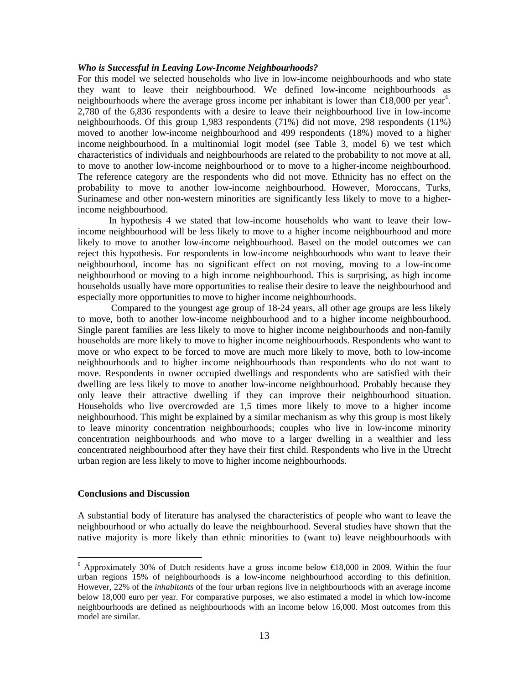#### *Who is Successful in Leaving Low-Income Neighbourhoods?*

For this model we selected households who live in low-income neighbourhoods and who state they want to leave their neighbourhood. We defined low-income neighbourhoods as neighbourhoods where the average gross income per inhabitant is lower than  $\epsilon 18,000$  per year<sup>[6](#page-12-1)</sup>. 2,780 of the 6,836 respondents with a desire to leave their neighbourhood live in low-income neighbourhoods. Of this group 1,983 respondents (71%) did not move, 298 respondents (11%) moved to another low-income neighbourhood and 499 respondents (18%) moved to a higher income neighbourhood. In a multinomial logit model (see Table 3, model 6) we test which characteristics of individuals and neighbourhoods are related to the probability to not move at all, to move to another low-income neighbourhood or to move to a higher-income neighbourhood. The reference category are the respondents who did not move. Ethnicity has no effect on the probability to move to another low-income neighbourhood. However, Moroccans, Turks, Surinamese and other non-western minorities are significantly less likely to move to a higherincome neighbourhood.

In hypothesis 4 we stated that low-income households who want to leave their lowincome neighbourhood will be less likely to move to a higher income neighbourhood and more likely to move to another low-income neighbourhood. Based on the model outcomes we can reject this hypothesis. For respondents in low-income neighbourhoods who want to leave their neighbourhood, income has no significant effect on not moving, moving to a low-income neighbourhood or moving to a high income neighbourhood. This is surprising, as high income households usually have more opportunities to realise their desire to leave the neighbourhood and especially more opportunities to move to higher income neighbourhoods.

Compared to the youngest age group of 18-24 years, all other age groups are less likely to move, both to another low-income neighbourhood and to a higher income neighbourhood. Single parent families are less likely to move to higher income neighbourhoods and non-family households are more likely to move to higher income neighbourhoods. Respondents who want to move or who expect to be forced to move are much more likely to move, both to low-income neighbourhoods and to higher income neighbourhoods than respondents who do not want to move. Respondents in owner occupied dwellings and respondents who are satisfied with their dwelling are less likely to move to another low-income neighbourhood. Probably because they only leave their attractive dwelling if they can improve their neighbourhood situation. Households who live overcrowded are 1,5 times more likely to move to a higher income neighbourhood. This might be explained by a similar mechanism as why this group is most likely to leave minority concentration neighbourhoods; couples who live in low-income minority concentration neighbourhoods and who move to a larger dwelling in a wealthier and less concentrated neighbourhood after they have their first child. Respondents who live in the Utrecht urban region are less likely to move to higher income neighbourhoods.

# **Conclusions and Discussion**

A substantial body of literature has analysed the characteristics of people who want to leave the neighbourhood or who actually do leave the neighbourhood. Several studies have shown that the native majority is more likely than ethnic minorities to (want to) leave neighbourhoods with

 $6$  Approximately 30% of Dutch residents have a gross income below  $\in$ 18,000 in 2009. Within the four urban regions 15% of neighbourhoods is a low-income neighbourhood according to this definition. However, 22% of the *inhabitants* of the four urban regions live in neighbourhoods with an average income below 18,000 euro per year. For comparative purposes, we also estimated a model in which low-income neighbourhoods are defined as neighbourhoods with an income below 16,000. Most outcomes from this model are similar.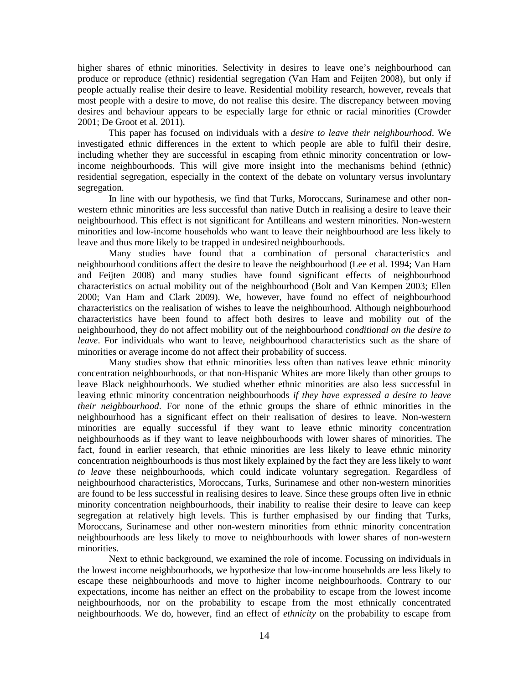higher shares of ethnic minorities. Selectivity in desires to leave one's neighbourhood can produce or reproduce (ethnic) residential segregation (Van Ham and Feijten 2008), but only if people actually realise their desire to leave. Residential mobility research, however, reveals that most people with a desire to move, do not realise this desire. The discrepancy between moving desires and behaviour appears to be especially large for ethnic or racial minorities (Crowder 2001; De Groot et al*.* 2011).

This paper has focused on individuals with a *desire to leave their neighbourhood*. We investigated ethnic differences in the extent to which people are able to fulfil their desire, including whether they are successful in escaping from ethnic minority concentration or lowincome neighbourhoods. This will give more insight into the mechanisms behind (ethnic) residential segregation, especially in the context of the debate on voluntary versus involuntary segregation.

In line with our hypothesis, we find that Turks, Moroccans, Surinamese and other nonwestern ethnic minorities are less successful than native Dutch in realising a desire to leave their neighbourhood. This effect is not significant for Antilleans and western minorities. Non-western minorities and low-income households who want to leave their neighbourhood are less likely to leave and thus more likely to be trapped in undesired neighbourhoods.

Many studies have found that a combination of personal characteristics and neighbourhood conditions affect the desire to leave the neighbourhood (Lee et al*.* 1994; Van Ham and Feijten 2008) and many studies have found significant effects of neighbourhood characteristics on actual mobility out of the neighbourhood (Bolt and Van Kempen 2003; Ellen 2000; Van Ham and Clark 2009). We, however, have found no effect of neighbourhood characteristics on the realisation of wishes to leave the neighbourhood. Although neighbourhood characteristics have been found to affect both desires to leave and mobility out of the neighbourhood, they do not affect mobility out of the neighbourhood *conditional on the desire to leave*. For individuals who want to leave, neighbourhood characteristics such as the share of minorities or average income do not affect their probability of success.

Many studies show that ethnic minorities less often than natives leave ethnic minority concentration neighbourhoods, or that non-Hispanic Whites are more likely than other groups to leave Black neighbourhoods. We studied whether ethnic minorities are also less successful in leaving ethnic minority concentration neighbourhoods *if they have expressed a desire to leave their neighbourhood*. For none of the ethnic groups the share of ethnic minorities in the neighbourhood has a significant effect on their realisation of desires to leave. Non-western minorities are equally successful if they want to leave ethnic minority concentration neighbourhoods as if they want to leave neighbourhoods with lower shares of minorities. The fact, found in earlier research, that ethnic minorities are less likely to leave ethnic minority concentration neighbourhoods is thus most likely explained by the fact they are less likely to *want to leave* these neighbourhoods, which could indicate voluntary segregation. Regardless of neighbourhood characteristics, Moroccans, Turks, Surinamese and other non-western minorities are found to be less successful in realising desires to leave. Since these groups often live in ethnic minority concentration neighbourhoods, their inability to realise their desire to leave can keep segregation at relatively high levels. This is further emphasised by our finding that Turks, Moroccans, Surinamese and other non-western minorities from ethnic minority concentration neighbourhoods are less likely to move to neighbourhoods with lower shares of non-western minorities.

Next to ethnic background, we examined the role of income. Focussing on individuals in the lowest income neighbourhoods, we hypothesize that low-income households are less likely to escape these neighbourhoods and move to higher income neighbourhoods. Contrary to our expectations, income has neither an effect on the probability to escape from the lowest income neighbourhoods, nor on the probability to escape from the most ethnically concentrated neighbourhoods. We do, however, find an effect of *ethnicity* on the probability to escape from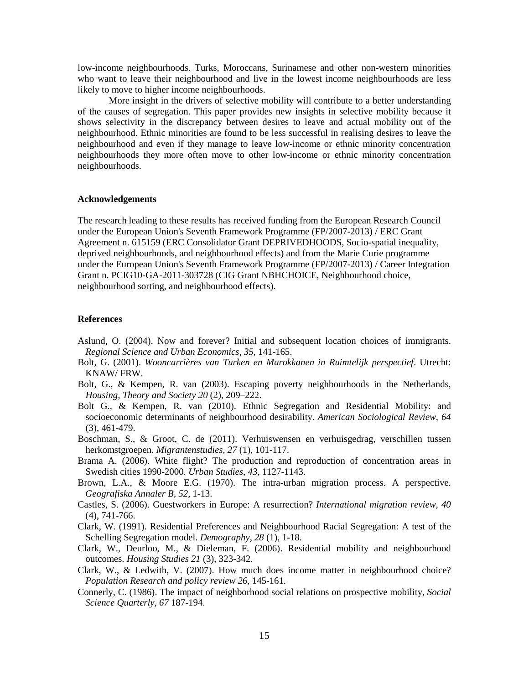low-income neighbourhoods. Turks, Moroccans, Surinamese and other non-western minorities who want to leave their neighbourhood and live in the lowest income neighbourhoods are less likely to move to higher income neighbourhoods.

More insight in the drivers of selective mobility will contribute to a better understanding of the causes of segregation. This paper provides new insights in selective mobility because it shows selectivity in the discrepancy between desires to leave and actual mobility out of the neighbourhood. Ethnic minorities are found to be less successful in realising desires to leave the neighbourhood and even if they manage to leave low-income or ethnic minority concentration neighbourhoods they more often move to other low-income or ethnic minority concentration neighbourhoods.

#### **Acknowledgements**

The research leading to these results has received funding from the European Research Council under the European Union's Seventh Framework Programme (FP/2007-2013) / ERC Grant Agreement n. 615159 (ERC Consolidator Grant DEPRIVEDHOODS, Socio-spatial inequality, deprived neighbourhoods, and neighbourhood effects) and from the Marie Curie programme under the European Union's Seventh Framework Programme (FP/2007-2013) / Career Integration Grant n. PCIG10-GA-2011-303728 (CIG Grant NBHCHOICE, Neighbourhood choice, neighbourhood sorting, and neighbourhood effects).

### **References**

- Aslund, O. (2004). Now and forever? Initial and subsequent location choices of immigrants. *Regional Science and Urban Economics*, *35*, 141-165.
- Bolt, G. (2001). *Wooncarrières van Turken en Marokkanen in Ruimtelijk perspectief*. Utrecht: KNAW/ FRW.
- Bolt, G., & Kempen, R. van (2003). Escaping poverty neighbourhoods in the Netherlands, *Housing, Theory and Society 20* (2), 209–222.
- Bolt G., & Kempen, R. van (2010). Ethnic Segregation and Residential Mobility: and socioeconomic determinants of neighbourhood desirability. *American Sociological Review, 64* (3), 461-479.
- Boschman, S., & Groot, C. de (2011). Verhuiswensen en verhuisgedrag, verschillen tussen herkomstgroepen. *Migrantenstudies, 27* (1), 101-117.
- Brama A. (2006). White flight? The production and reproduction of concentration areas in Swedish cities 1990-2000. *Urban Studies, 43*, 1127-1143.
- Brown, L.A., & Moore E.G. (1970). The intra-urban migration process. A perspective. *Geografiska Annaler B, 52*, 1-13.
- Castles, S. (2006). Guestworkers in Europe: A resurrection? *International migration review, 40* (4), 741-766.
- Clark, W. (1991). Residential Preferences and Neighbourhood Racial Segregation: A test of the Schelling Segregation model. *Demography, 28* (1), 1-18.
- Clark, W., Deurloo, M., & Dieleman, F. (2006). Residential mobility and neighbourhood outcomes. *Housing Studies 21* (3), 323-342.
- Clark, W., & Ledwith, V. (2007). How much does income matter in neighbourhood choice? *Population Research and policy review 26*, 145-161.
- Connerly, C. (1986). The impact of neighborhood social relations on prospective mobility, *Social Science Quarterly, 67* 187-194.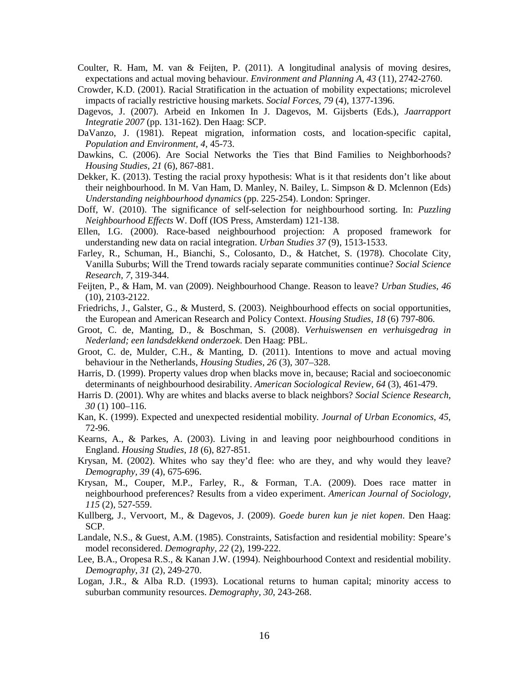- Coulter, R. Ham, M. van & Feijten, P. (2011). A longitudinal analysis of moving desires, expectations and actual moving behaviour. *Environment and Planning A*, *43* (11), 2742-2760.
- Crowder, K.D. (2001). Racial Stratification in the actuation of mobility expectations; microlevel impacts of racially restrictive housing markets. *Social Forces, 79* (4), 1377-1396.
- Dagevos, J. (2007). Arbeid en Inkomen In J. Dagevos, M. Gijsberts (Eds.), *Jaarrapport Integratie 2007* (pp. 131-162). Den Haag: SCP.
- DaVanzo, J. (1981). Repeat migration, information costs, and location-specific capital, *Population and Environment, 4,* 45-73.
- Dawkins, C. (2006). Are Social Networks the Ties that Bind Families to Neighborhoods? *Housing Studies, 21* (6), 867-881.
- Dekker, K. (2013). Testing the racial proxy hypothesis: What is it that residents don't like about their neighbourhood. In M. Van Ham, D. Manley, N. Bailey, L. Simpson & D. Mclennon (Eds) *Understanding neighbourhood dynamics* (pp. 225-254). London: Springer.
- Doff, W. (2010). The significance of self-selection for neighbourhood sorting. In: *Puzzling Neighbourhood Effects* W. Doff (IOS Press, Amsterdam) 121-138.
- Ellen, I.G. (2000). Race-based neighbourhood projection: A proposed framework for understanding new data on racial integration. *Urban Studies 37* (9), 1513-1533.
- Farley, R., Schuman, H., Bianchi, S., Colosanto, D., & Hatchet, S. (1978). Chocolate City, Vanilla Suburbs; Will the Trend towards racialy separate communities continue? *Social Science Research, 7*, 319-344.
- Feijten, P., & Ham, M. van (2009). Neighbourhood Change. Reason to leave? *Urban Studies*, *46* (10), 2103-2122.
- Friedrichs, J., Galster, G., & Musterd, S. (2003). Neighbourhood effects on social opportunities, the European and American Research and Policy Context. *Housing Studies, 18* (6) 797-806.
- Groot, C. de, Manting, D., & Boschman, S. (2008). *Verhuiswensen en verhuisgedrag in Nederland; een landsdekkend onderzoek*. Den Haag: PBL.
- Groot, C. de, Mulder, C.H., & Manting, D. (2011). Intentions to move and actual moving behaviour in the Netherlands, *Housing Studies, 26* (3), 307–328.
- Harris, D. (1999). Property values drop when blacks move in, because; Racial and socioeconomic determinants of neighbourhood desirability. *American Sociological Review, 64* (3), 461-479.
- Harris D. (2001). Why are whites and blacks averse to black neighbors? *Social Science Research, 30* (1) 100–116.
- Kan, K. (1999). Expected and unexpected residential mobility*. Journal of Urban Economics*, *45*, 72-96.
- Kearns, A., & Parkes, A. (2003). Living in and leaving poor neighbourhood conditions in England. *Housing Studies*, *18* (6), 827-851.
- Krysan, M. (2002). Whites who say they'd flee: who are they, and why would they leave? *Demography, 39* (4), 675-696.
- Krysan, M., Couper, M.P., Farley, R., & Forman, T.A. (2009). Does race matter in neighbourhood preferences? Results from a video experiment. *American Journal of Sociology, 115* (2), 527-559.
- Kullberg, J., Vervoort, M., & Dagevos, J. (2009). *Goede buren kun je niet kopen*. Den Haag: SCP.
- Landale, N.S., & Guest, A.M. (1985). Constraints, Satisfaction and residential mobility: Speare's model reconsidered. *Demography, 22* (2), 199-222.
- Lee, B.A., Oropesa R.S., & Kanan J.W. (1994). Neighbourhood Context and residential mobility. *Demography*, *31* (2), 249-270.
- Logan, J.R., & Alba R.D. (1993). Locational returns to human capital; minority access to suburban community resources. *Demography, 30*, 243-268.